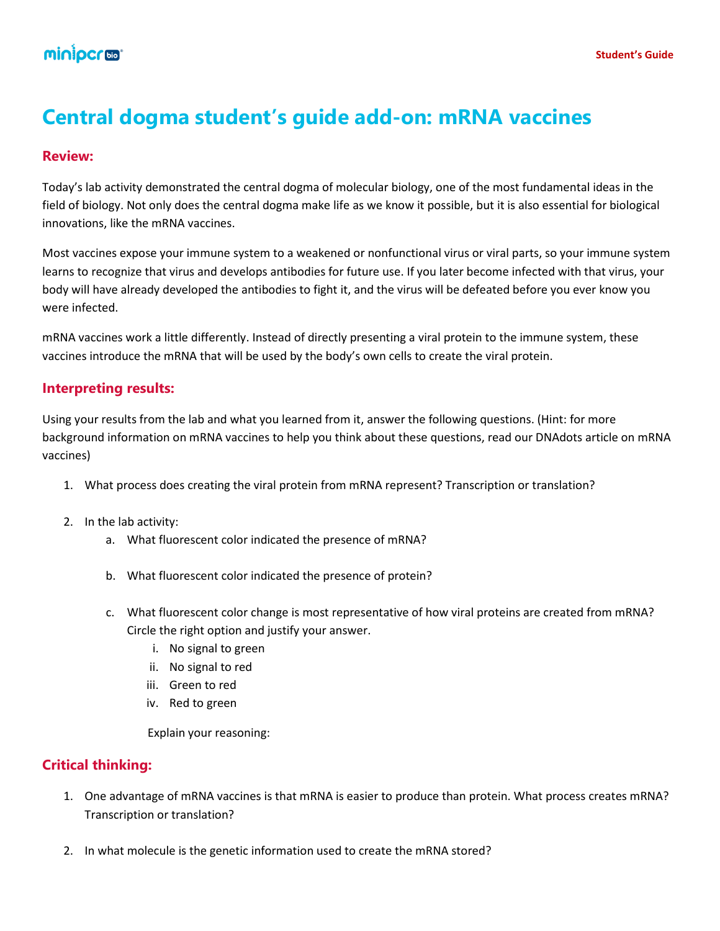# **Central dogma student's guide add-on: mRNA vaccines**

### **Review:**

Today's lab activity demonstrated the central dogma of molecular biology, one of the most fundamental ideas in the field of biology. Not only does the central dogma make life as we know it possible, but it is also essential for biological innovations, like the mRNA vaccines.

Most vaccines expose your immune system to a weakened or nonfunctional virus or viral parts, so your immune system learns to recognize that virus and develops antibodies for future use. If you later become infected with that virus, your body will have already developed the antibodies to fight it, and the virus will be defeated before you ever know you were infected.

mRNA vaccines work a little differently. Instead of directly presenting a viral protein to the immune system, these vaccines introduce the mRNA that will be used by the body's own cells to create the viral protein.

### **Interpreting results:**

Using your results from the lab and what you learned from it, answer the following questions. (Hint: for more background information on mRNA vaccines to help you think about these questions, read our DNAdots article on mRNA vaccines)

- 1. What process does creating the viral protein from mRNA represent? Transcription or translation?
- 2. In the lab activity:
	- a. What fluorescent color indicated the presence of mRNA?
	- b. What fluorescent color indicated the presence of protein?
	- c. What fluorescent color change is most representative of how viral proteins are created from mRNA? Circle the right option and justify your answer.
		- i. No signal to green
		- ii. No signal to red
		- iii. Green to red
		- iv. Red to green

Explain your reasoning:

## **Critical thinking:**

- 1. One advantage of mRNA vaccines is that mRNA is easier to produce than protein. What process creates mRNA? Transcription or translation?
- 2. In what molecule is the genetic information used to create the mRNA stored?